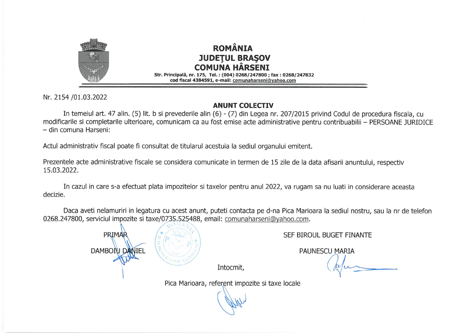

## **ROMÂNIA JUDETUL BRASOV COMUNA HÂRSENT** Str. Principală, nr. 175, Tel.: (004) 0268/247800 ; fax : 0268/247832

cod fiscal 4384591, e-mail: comunaharseni@yahoo.com

Nr. 2154 /01.03.2022

## **ANUNT COLECTIV**

In temeiul art. 47 alin. (5) lit. b si prevederile alin (6) - (7) din Legea nr. 207/2015 privind Codul de procedura fiscala, cu modificarile si completarile ulterioare, comunicam ca au fost emise acte administrative pentru contribuabilii - PERSOANE JURIDICE - din comuna Harseni:

Actul administrativ fiscal poate fi consultat de titularul acestuia la sediul organului emitent.

Prezentele acte administrative fiscale se considera comunicate in termen de 15 zile de la data afisarii anuntului, respectiv 15.03.2022.

In cazul in care s-a efectuat plata impozitelor si taxelor pentru anul 2022, va rugam sa nu luati in considerare aceasta decizie.

Daca aveti nelamuriri in legatura cu acest anunt, puteti contacta pe d-na Pica Marioara la sediul nostru, sau la nr de telefon 0268.247800, serviciul impozite si taxe/0735.525488, email: comunaharseni@yahoo.com.



SEF BIROUL BUGET FINANTE

**PAUNESCU MARIA** 

Intocmit,

Pica Marioara, referent impozite si taxe locale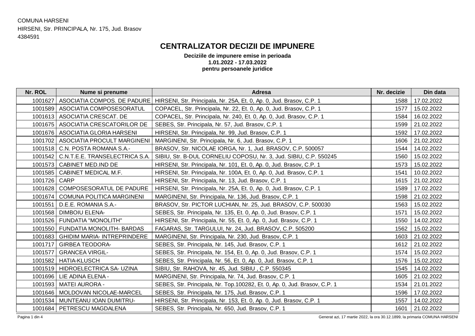#### COMUNA HARSENI HIRSENI, Str. PRINCIPALA, Nr. 175, Jud. Brasov 4384591

## **CENTRALIZATOR DECIZII DE IMPUNERE**

**Deciziile de impunere emise in perioada 1.01.2022 - 17.03.2022 pentru persoanele juridice**

| Nr. ROL        | Nume si prenume                     | <b>Adresa</b>                                                              | Nr. decizie | Din data   |
|----------------|-------------------------------------|----------------------------------------------------------------------------|-------------|------------|
| 1001627        | ASOCIATIA COMPOS. DE PADURE         | HIRSENI, Str. Principala, Nr. 25A, Et. 0, Ap. 0, Jud. Brasov, C.P. 1       | 1588        | 17.02.2022 |
| 1001589        | ASOCIATIA COMPOSESORATUL            | COPACEL, Str. Principala, Nr. 22, Et. 0, Ap. 0, Jud. Brasov, C.P. 1        | 1577        | 15.02.2022 |
|                | 1001613   ASOCIATIA CRESCAT. DE     | COPACEL, Str. Principala, Nr. 240, Et. 0, Ap. 0, Jud. Brasov, C.P. 1       | 1584        | 16.02.2022 |
| 1001675        | ASOCIATIA CRESCATORILOR DE          | SEBES, Str. Principala, Nr. 57, Jud. Brasov, C.P. 1                        | 1599        | 21.02.2022 |
|                | 1001676   ASOCIATIA GLORIA HARSENI  | HIRSENI, Str. Principala, Nr. 99, Jud. Brasov, C.P. 1                      | 1592        | 17.02.2022 |
| 1001702        | ASOCIATIA PROCULT MARGINENI         | MARGINENI, Str. Principala, Nr. 6, Jud. Brasov, C.P. 1                     | 1606        | 21.02.2022 |
|                | 1001518   C.N. POSTA ROMANA S.A.-   | BRASOV, Str. NICOLAE IORGA, Nr. 1, Jud. BRASOV, C.P. 500057                | 1544        | 14.02.2022 |
| 1001542        | C.N.T.E.E. TRANSELECTRICA S.A.      | SIBIU, Str. B-DUL CORNELIU COPOSU, Nr. 3, Jud. SIBIU, C.P. 550245          | 1560        | 15.02.2022 |
| 1001573        | CABINET MED.IND DE                  | HIRSENI, Str. Principala, Nr. 101, Et. 0, Ap. 0, Jud. Brasov, C.P. 1       | 1573        | 15.02.2022 |
| 1001585        | CABINET MEDICAL M.F.                | HIRSENI, Str. Principala, Nr. 100A, Et. 0, Ap. 0, Jud. Brasov, C.P. 1      | 1541        | 10.02.2022 |
| 1001726 CARP   |                                     | HIRSENI, Str. Principala, Nr. 13, Jud. Brasov, C.P. 1                      | 1615        | 21.02.2022 |
| 1001628        | COMPOSESORATUL DE PADURE            | HIRSENI, Str. Principala, Nr. 25A, Et. 0, Ap. 0, Jud. Brasov, C.P. 1       | 1589        | 17.02.2022 |
| 1001674        | COMUNA POLITICA MARGINENI           | MARGINENI, Str. Principala, Nr. 136, Jud. Brasov, C.P. 1                   | 1598        | 21.02.2022 |
| 1001551        | D.E.E. ROMANIA S.A.-                | BRASOV, Str. PICTOR LUCHIAN, Nr. 25, Jud. BRASOV, C.P. 500030              | 1563        | 15.02.2022 |
| 1001568        | <b>DIMBOIU ELENA-</b>               | SEBES, Str. Principala, Nr. 135, Et. 0, Ap. 0, Jud. Brasov, C.P. 1         | 1571        | 15.02.2022 |
| 1001526        | FUNDATIA "MONOLITH"                 | HIRSENI, Str. Principala, Nr. 55, Et. 0, Ap. 0, Jud. Brasov, C.P. 1        | 1550        | 14.02.2022 |
|                | 1001550   FUNDATIA MONOLITH- BARDAS | FAGARAS, Str. TARGULUI, Nr. 24, Jud. BRASOV, C.P. 505200                   | 1562        | 15.02.2022 |
| 1001683        | <b>GHIDIM MARIA- INTREPRINDERE</b>  | MARGINENI, Str. Principala, Nr. 230, Jud. Brasov, C.P. 1                   | 1603        | 21.02.2022 |
| 1001717        | <b>GIRBEA TEODORA-</b>              | SEBES, Str. Principala, Nr. 145, Jud. Brasov, C.P. 1                       | 1612        | 21.02.2022 |
| 1001577        | <b>GRANCEA VIRGIL-</b>              | SEBES, Str. Principala, Nr. 154, Et. 0, Ap. 0, Jud. Brasov, C.P. 1         | 1574        | 15.02.2022 |
| 1001582        | <b>HATIA-KLUSCH</b>                 | SEBES, Str. Principala, Nr. 56, Et. 0, Ap. 0, Jud. Brasov, C.P. 1          | 1576        | 15.02.2022 |
|                | 1001519   HIDROELECTRICA SA- UZINA  | SIBIU, Str. RAHOVA, Nr. 45, Jud. SIBIU, C.P. 550345                        | 1545        | 14.02.2022 |
| 1001696        | LIE ADINA ELENA -                   | MARGINENI, Str. Principala, Nr. 74, Jud. Brasov, C.P. 1                    | 1605        | 21.02.2022 |
| 1001593        | <b>MATEI AURORA -</b>               | SEBES, Str. Principala, Nr. Top.100282, Et. 0, Ap. 0, Jud. Brasov, C.P. 1  | 1534        | 21.01.2022 |
| 1001646        | MOLDOVAN NICOLAE-MARCEL             | SEBES, Str. Principala, Nr. 175, Jud. Brasov, C.P. 1                       | 1596        | 17.02.2022 |
| 1001534        | MUNTEANU IOAN DUMITRU-              | HIRSENI, Str. Principala, Nr. 153, Et. 0, Ap. 0, Jud. Brasov, C.P. 1       | 1557        | 14.02.2022 |
|                | 1001684   PETRESCU MAGDALENA        | SEBES, Str. Principala, Nr. 650, Jud. Brasov, C.P. 1                       | 1601        | 21.02.2022 |
| Pagina 1 din 4 |                                     | Generat azi, 17 martie 2022, la ora 30.12.1899, la primaria COMUNA HARSENI |             |            |

Pagina 1 din 4 Generat azi, 17 martie 2022, la ora 30.12.1899, la primaria COMUNA HARSENI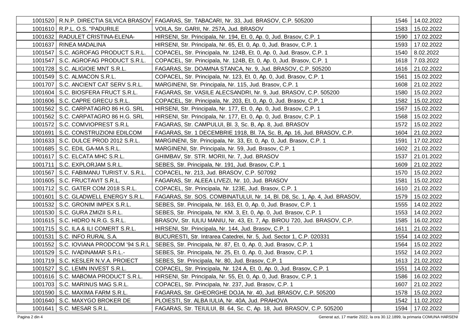| 1001520   R.N.P. DIRECTIA SILVICA BRASOV | FAGARAS, Str. TABACARI, Nr. 33, Jud. BRASOV, C.P. 505200                                                     | 1546 | 14.02.2022      |
|------------------------------------------|--------------------------------------------------------------------------------------------------------------|------|-----------------|
| 1001610 R.P.L. O.S. "PADURILE            | VOILA, Str. GARII, Nr. 257A, Jud. BRASOV                                                                     | 1583 | 15.02.2022      |
| 1001632   RADULET CRISTINA-ELENA-        | HIRSENI, Str. Principala, Nr. 194, Et. 0, Ap. 0, Jud. Brasov, C.P. 1                                         | 1590 | 17.02.2022      |
| 1001637   RINEA MADALINA                 | HIRSENI, Str. Principala, Nr. 65, Et. 0, Ap. 0, Jud. Brasov, C.P. 1                                          | 1593 | 17.02.2022      |
| 1001547   S.C. AGROFAG PRODUCT S.R.L.    | COPACEL, Str. Principala, Nr. 124B, Et. 0, Ap. 0, Jud. Brasov, C.P. 1                                        | 1540 | 8.02.2022       |
| 1001547   S.C. AGROFAG PRODUCT S.R.L.    | COPACEL, Str. Principala, Nr. 124B, Et. 0, Ap. 0, Jud. Brasov, C.P. 1                                        | 1618 | 7.03.2022       |
| 1001728   S.C. ALIGIOIE MNT S.R.L.       | FAGARAS, Str. DOAMNA STANCA, Nr. 9, Jud. BRASOV, C.P. 505200                                                 | 1616 | 21.02.2022      |
| 1001549   S.C. ALMACON S.R.L.            | COPACEL, Str. Principala, Nr. 123, Et. 0, Ap. 0, Jud. Brasov, C.P. 1                                         | 1561 | 15.02.2022      |
| 1001707   S.C. ANCIENT CAT SERV S.R.L.   | MARGINENI, Str. Principala, Nr. 115, Jud. Brasov, C.P. 1                                                     | 1608 | 21.02.2022      |
| 1001604 S.C. BIOSFERA FRUCT S.R.L.       | FAGARAS, Str. VASILE ALECSANDRI, Nr. 9, Jud. BRASOV, C.P. 505200                                             | 1580 | 15.02.2022      |
| 1001606   S.C. CAPRE GRECU S.R.L.        | COPACEL, Str. Principala, Nr. 203, Et. 0, Ap. 0, Jud. Brasov, C.P. 1                                         | 1582 | 15.02.2022      |
| 1001562   S.C. CARPATAGRO 86 H.G. SRL    | HIRSENI, Str. Principala, Nr. 177, Et. 0, Ap. 0, Jud. Brasov, C.P. 1                                         | 1567 | 15.02.2022      |
| 1001562   S.C. CARPATAGRO 86 H.G. SRL    | HIRSENI, Str. Principala, Nr. 177, Et. 0, Ap. 0, Jud. Brasov, C.P. 1                                         | 1568 | 15.02.2022      |
| 1001572   S.C. COMVIOPREST S.R.L         | FAGARAS, Str. CAMPULUI, Bl. 3, Sc. B, Ap. 8, Jud. BRASOV                                                     | 1572 | 15.02.2022      |
| 1001691   S.C. CONSTRUZIONI EDILCOM      | FAGARAS, Str. 1 DECEMBRIE 1918, Bl. 7A, Sc. B, Ap. 16, Jud. BRASOV, C.P.                                     | 1604 | 21.02.2022      |
| 1001633   S.C. DULCE PROD 2012 S.R.L.    | MARGINENI, Str. Principala, Nr. 33, Et. 0, Ap. 0, Jud. Brasov, C.P. 1                                        | 1591 | 17.02.2022      |
| 1001685   S.C. EDIL GA-MA S.R.L.         | MARGINENI, Str. Principala, Nr. 59, Jud. Brasov, C.P. 1                                                      | 1602 | 21.02.2022      |
| 1001617   S.C. ELCATA MHC S.R.L.         | GHIMBAV, Str. STR. MORII, Nr. 7, Jud. BRASOV                                                                 | 1537 | 21.01.2022      |
| 1001711   S.C. EXPLORJAM S.R.L.          | SEBES, Str. Principala, Nr. 191, Jud. Brasov, C.P. 1                                                         | 1609 | 21.02.2022      |
| 1001567   S.C. FABIMANU TURIST.V. S.R.L. | COPACEL, Nr. 213, Jud. BRASOV, C.P. 507092                                                                   | 1570 | 15.02.2022      |
| 1001605   S.C. FRUCTAVIT S.R.L.          | FAGARAS, Str. ALEEA LIVEZI, Nr. 10, Jud. BRASOV                                                              | 1581 | 15.02.2022      |
| 1001712   S.C. GATER COM 2018 S.R.L.     | COPACEL, Str. Principala, Nr. 123E, Jud. Brasov, C.P. 1                                                      | 1610 | 21.02.2022      |
| 1001601   S.C. GLADWELL ENERGY S.R.L.    | FAGARAS, Str. SOS. COMBINATULUI, Nr. 14, Bl. D8, Sc. 1, Ap. 4, Jud. BRASOV,                                  | 1579 | 15.02.2022      |
| 1001532   S.C. GRONIM IMPEX S.R.L.       | SEBES, Str. Principala, Nr. 163, Et. 0, Ap. 0, Jud. Brasov, C.P. 1                                           | 1555 | 14.02.2022      |
| 1001530   S.C. GURA ZMIZII S.R.L.        | SEBES, Str. Principala, Nr. KM. 3, Et. 0, Ap. 0, Jud. Brasov, C.P. 1                                         | 1553 | 14.02.2022      |
| 1001615   S.C. HIDRO N.R.G. S.R.L.       | BRASOV, Str. IULIU MANIU, Nr. 43, Et. 7, Ap. BIROU 720, Jud. BRASOV, C.P.                                    | 1585 | 16.02.2022      |
| 1001715   S.C. ILA & ILI COMERT S.R.L.   | HIRSENI, Str. Principala, Nr. 144, Jud. Brasov, C.P. 1                                                       | 1611 | 21.02.2022      |
| 1001531   S.C. INFO RURAL S.A.           | BUCURESTI, Str. Intrarea Catedrei, Nr. 5, Jud. Sector 1, C.P. 020331                                         | 1554 | 14.02.2022      |
|                                          | 1001552   S.C. IOVIANA PRODCOM '94 S.R.L   SEBES, Str. Principala, Nr. 87, Et. 0, Ap. 0, Jud. Brasov, C.P. 1 | 1564 | 15.02.2022      |
| 1001529   S.C. IVADINAMAR S.R.L.-        | SEBES, Str. Principala, Nr. 25, Et. 0, Ap. 0, Jud. Brasov, C.P. 1                                            | 1552 | 14.02.2022      |
| 1001719   S.C. KESLER N.V.A. PROIECT     | SEBES, Str. Principala, Nr. 80, Jud. Brasov, C.P. 1                                                          | 1613 | 21.02.2022      |
| 1001527 S.C. LEMN INVEST S.R.L.          | COPACEL, Str. Principala, Nr. 124 A, Et. 0, Ap. 0, Jud. Brasov, C.P. 1                                       |      | 1551 14.02.2022 |
| 1001616   S.C. MABOMA PRODUCT S.R.L.     | HIRSENI, Str. Principala, Nr. 55, Et. 0, Ap. 0, Jud. Brasov, C.P. 1                                          | 1586 | 16.02.2022      |
| 1001703   S.C. MARINUS MAG S.R.L.        | COPACEL, Str. Principala, Nr. 237, Jud. Brasov, C.P. 1                                                       | 1607 | 21.02.2022      |
| 1001590   S.C. MAXIMA FARM S.R.L.        | FAGARAS, Str. GHEORGHE DOJA, Nr. 40, Jud. BRASOV, C.P. 505200                                                | 1578 | 15.02.2022      |
| 1001640   S.C. MAXYGO BROKER DE          | PLOIESTI, Str. ALBA IULIA, Nr. 40A, Jud. PRAHOVA                                                             | 1542 | 11.02.2022      |
| 1001641   S.C. MESAR S.R.L.              | FAGARAS, Str. TEIULUI, Bl. 64, Sc. C, Ap. 18, Jud. BRASOV, C.P. 505200                                       | 1594 | 17.02.2022      |

Pagina 2 din 4 Generat azi, 17 martie 2022, la ora 30.12.1899, la primaria COMUNA HARSENI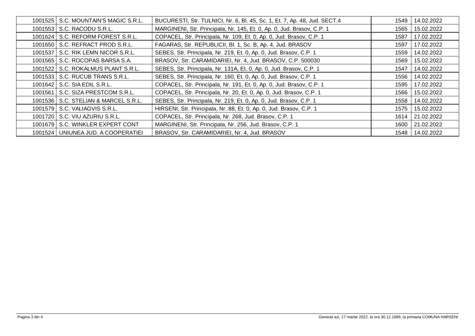| 1001525   S.C. MOUNTAIN'S MAGIC S.R.L. | BUCURESTI, Str. TULNICI, Nr. 6, Bl. 45, Sc. 1, Et. 7, Ap. 48, Jud. SECT.4 | 1549 | 14.02.2022 |
|----------------------------------------|---------------------------------------------------------------------------|------|------------|
| 1001553   S.C. RACODU S.R.L.           | MARGINENI, Str. Principala, Nr. 145, Et. 0, Ap. 0, Jud. Brasov, C.P. 1    | 1565 | 15.02.2022 |
| 1001624   S.C. REFORM FOREST S.R.L.    | COPACEL, Str. Principala, Nr. 109, Et. 0, Ap. 0, Jud. Brasov, C.P. 1      | 1587 | 17.02.2022 |
| 1001650   S.C. REFRACT PROD S.R.L.     | FAGARAS, Str. REPUBLICII, Bl. 1, Sc. B, Ap. 4, Jud. BRASOV                | 1597 | 17.02.2022 |
| 1001537   S.C. RIK LEMN NICOR S.R.L.   | SEBES, Str. Principala, Nr. 219, Et. 0, Ap. 0, Jud. Brasov, C.P. 1        | 1559 | 14.02.2022 |
| 1001565   S.C. ROCOPAS BARSA S.A.      | BRASOV, Str. CARAMIDARIEI, Nr. 4, Jud. BRASOV, C.P. 500030                | 1569 | 15.02.2022 |
| 1001522   S.C. ROKALMUS PLANT S.R.L.   | SEBES, Str. Principala, Nr. 131A, Et. 0, Ap. 0, Jud. Brasov, C.P. 1       | 1547 | 14.02.2022 |
| 1001533   S.C. RUCUB TRANS S.R.L.      | SEBES, Str. Principala, Nr. 160, Et. 0, Ap. 0, Jud. Brasov, C.P. 1        | 1556 | 14.02.2022 |
| 1001642 S.C. SIA EDIL S.R.L.           | COPACEL, Str. Principala, Nr. 191, Et. 0, Ap. 0, Jud. Brasov, C.P. 1      | 1595 | 17.02.2022 |
| 1001561   S.C. SIZA PRESTCOM S.R.L.    | COPACEL, Str. Principala, Nr. 20, Et. 0, Ap. 0, Jud. Brasov, C.P. 1       | 1566 | 15.02.2022 |
| 1001536   S.C. STELIAN & MARCEL S.R.L. | SEBES, Str. Principala, Nr. 219, Et. 0, Ap. 0, Jud. Brasov, C.P. 1        | 1558 | 14.02.2022 |
| 1001579 S.C. VALIAGVIS S.R.L.          | HIRSENI, Str. Principala, Nr. 88, Et. 0, Ap. 0, Jud. Brasov, C.P. 1       | 1575 | 15.02.2022 |
| 1001720   S.C. VIU AZURIU S.R.L.       | COPACEL, Str. Principala, Nr. 268, Jud. Brasov, C.P. 1                    | 1614 | 21.02.2022 |
| 1001679 S.C. WINKLER EXPERT CONT       | MARGINENI, Str. Principala, Nr. 256, Jud. Brasov, C.P. 1                  | 1600 | 21.02.2022 |
| 1001524 UNIUNEA JUD. A COOPERATIEI     | BRASOV, Str. CARAMIDARIEI, Nr. 4, Jud. BRASOV                             | 1548 | 14.02.2022 |